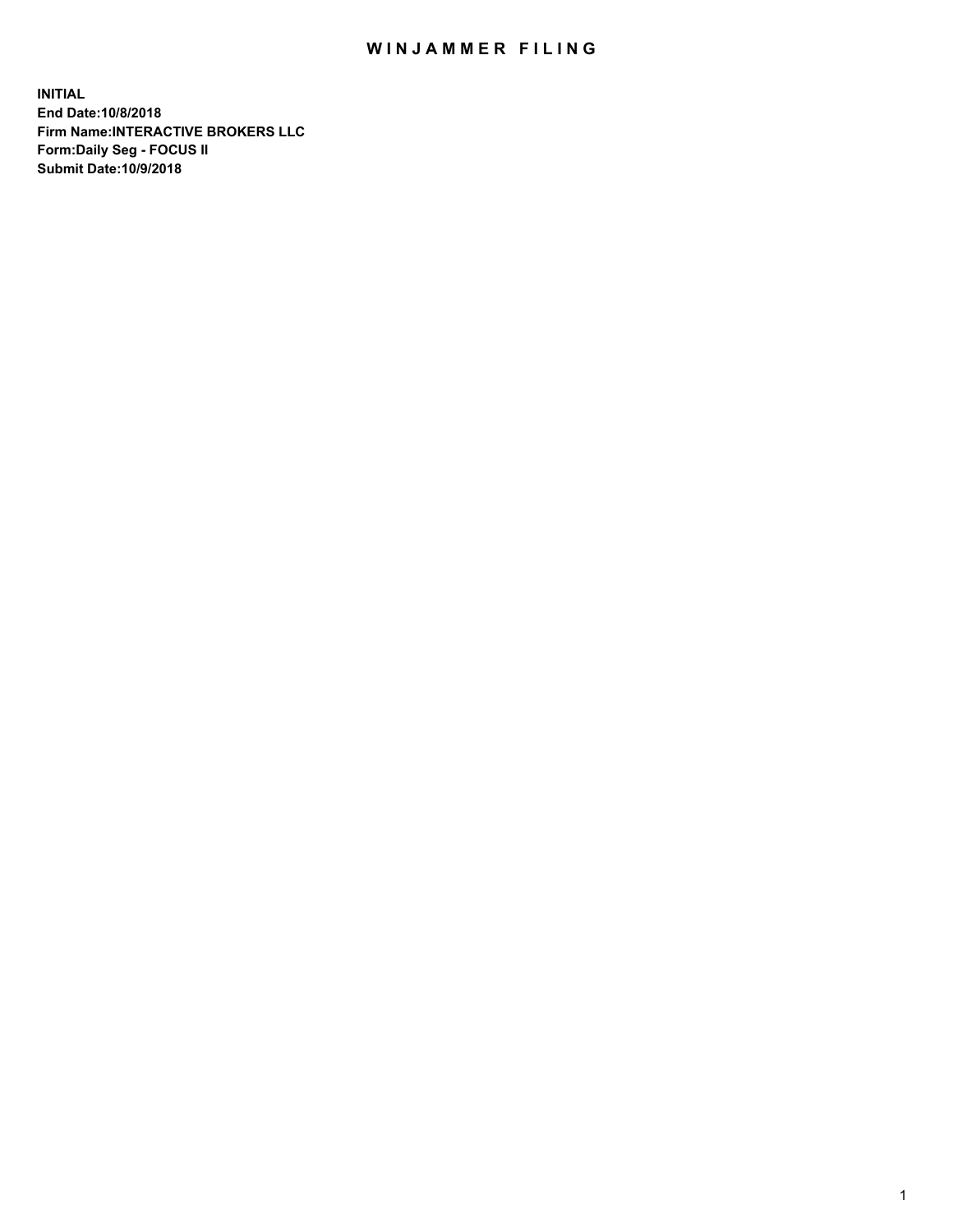## WIN JAMMER FILING

**INITIAL End Date:10/8/2018 Firm Name:INTERACTIVE BROKERS LLC Form:Daily Seg - FOCUS II Submit Date:10/9/2018**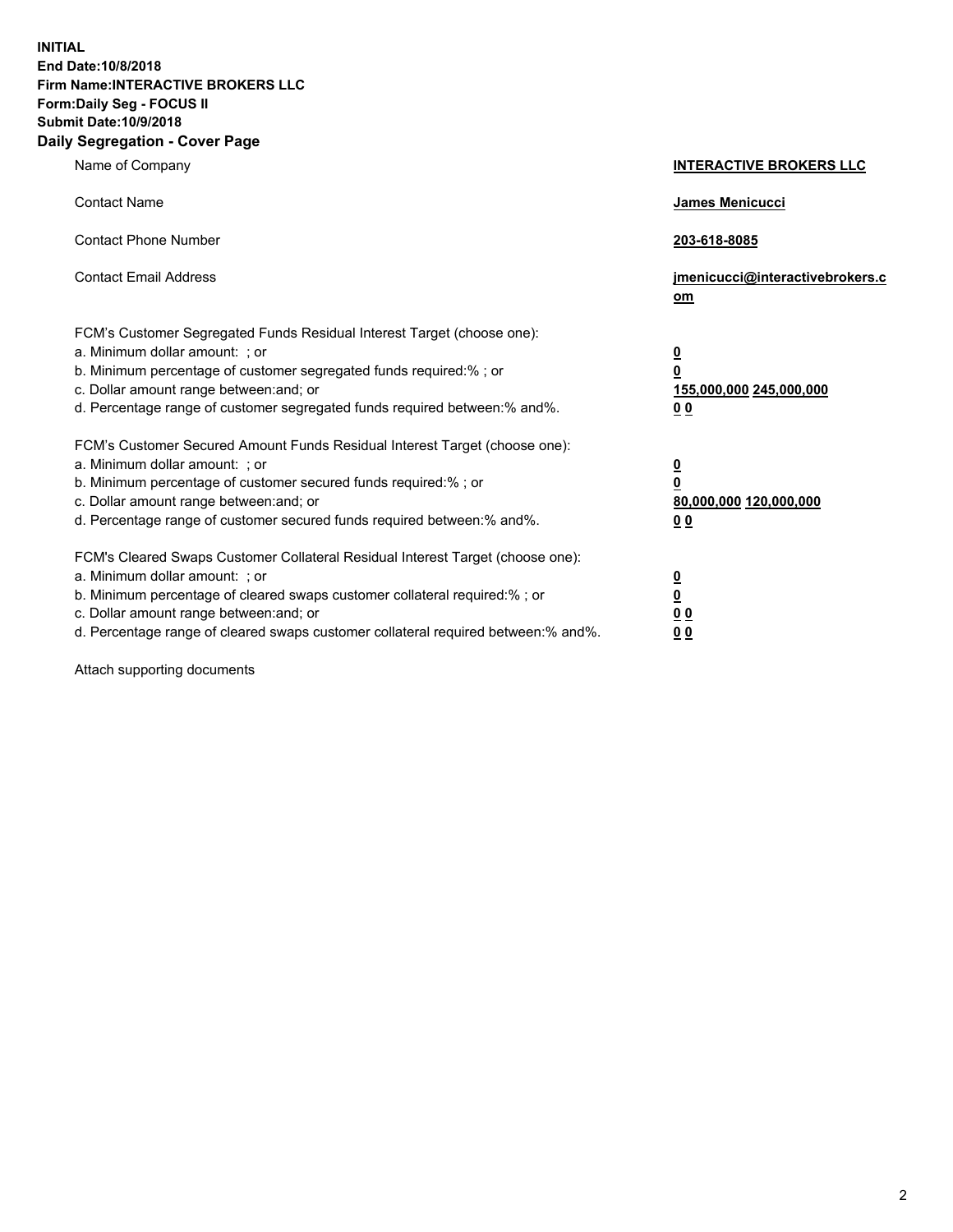**INITIAL End Date:10/8/2018 Firm Name:INTERACTIVE BROKERS LLC Form:Daily Seg - FOCUS II Submit Date:10/9/2018 Daily Segregation - Cover Page**

| Name of Company                                                                                                                                                                                                                                                                                                                | <b>INTERACTIVE BROKERS LLC</b>                                                                  |
|--------------------------------------------------------------------------------------------------------------------------------------------------------------------------------------------------------------------------------------------------------------------------------------------------------------------------------|-------------------------------------------------------------------------------------------------|
| <b>Contact Name</b>                                                                                                                                                                                                                                                                                                            | James Menicucci                                                                                 |
| <b>Contact Phone Number</b>                                                                                                                                                                                                                                                                                                    | 203-618-8085                                                                                    |
| <b>Contact Email Address</b>                                                                                                                                                                                                                                                                                                   | jmenicucci@interactivebrokers.c<br>om                                                           |
| FCM's Customer Segregated Funds Residual Interest Target (choose one):<br>a. Minimum dollar amount: ; or<br>b. Minimum percentage of customer segregated funds required:% ; or<br>c. Dollar amount range between: and; or<br>d. Percentage range of customer segregated funds required between:% and%.                         | $\overline{\mathbf{0}}$<br>$\overline{\mathbf{0}}$<br>155,000,000 245,000,000<br>0 <sub>0</sub> |
| FCM's Customer Secured Amount Funds Residual Interest Target (choose one):<br>a. Minimum dollar amount: ; or<br>b. Minimum percentage of customer secured funds required:% ; or<br>c. Dollar amount range between: and; or<br>d. Percentage range of customer secured funds required between:% and%.                           | $\overline{\mathbf{0}}$<br>0<br>80,000,000 120,000,000<br>0 <sub>0</sub>                        |
| FCM's Cleared Swaps Customer Collateral Residual Interest Target (choose one):<br>a. Minimum dollar amount: ; or<br>b. Minimum percentage of cleared swaps customer collateral required:% ; or<br>c. Dollar amount range between: and; or<br>d. Percentage range of cleared swaps customer collateral required between:% and%. | $\overline{\mathbf{0}}$<br><u>0</u><br>$\underline{0}$ $\underline{0}$<br>00                    |

Attach supporting documents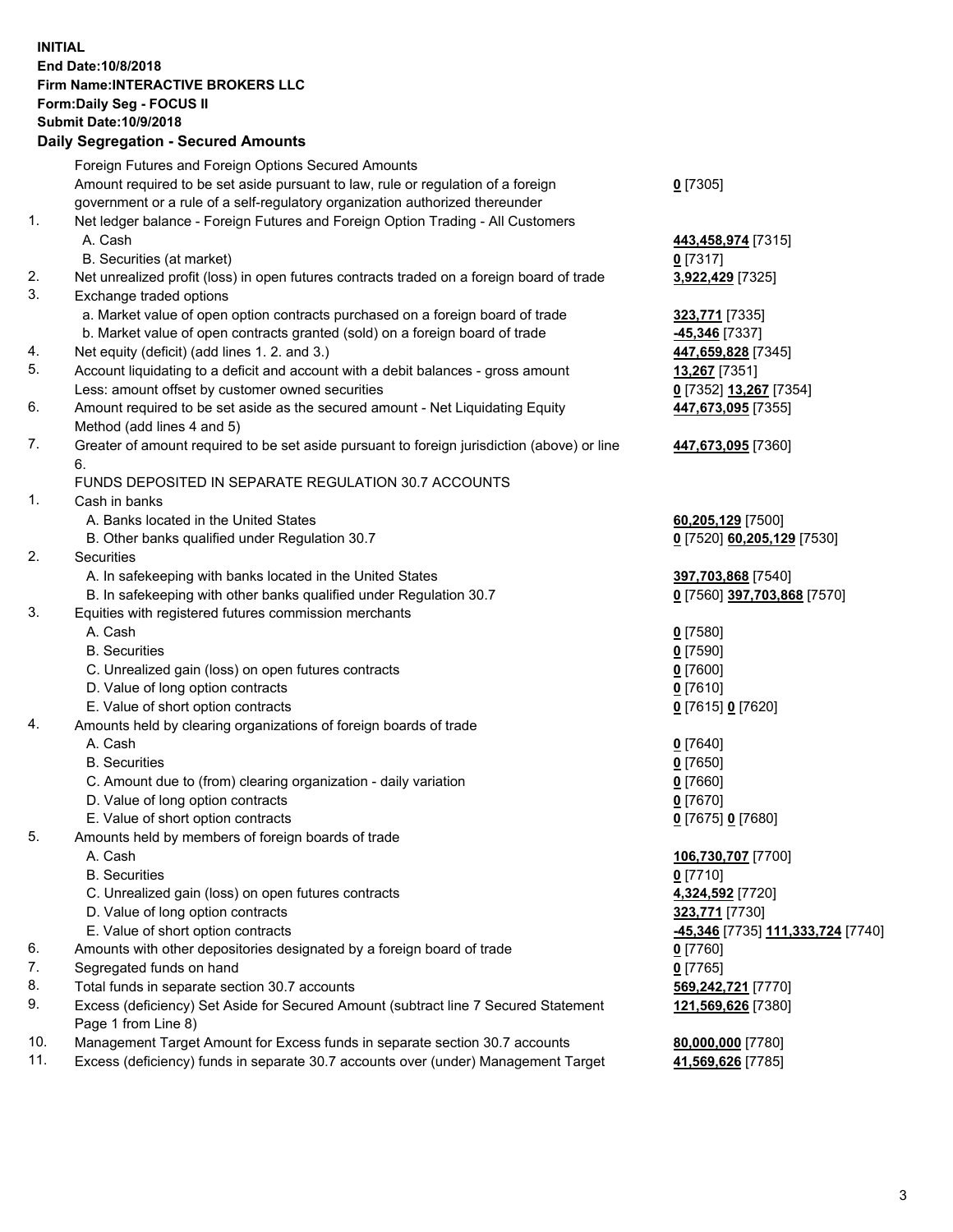## **INITIAL End Date:10/8/2018 Firm Name:INTERACTIVE BROKERS LLC Form:Daily Seg - FOCUS II Submit Date:10/9/2018**

|     | <b>Daily Segregation - Secured Amounts</b>                                                  |                                                |
|-----|---------------------------------------------------------------------------------------------|------------------------------------------------|
|     | Foreign Futures and Foreign Options Secured Amounts                                         |                                                |
|     | Amount required to be set aside pursuant to law, rule or regulation of a foreign            | $0$ [7305]                                     |
|     | government or a rule of a self-regulatory organization authorized thereunder                |                                                |
| 1.  | Net ledger balance - Foreign Futures and Foreign Option Trading - All Customers             |                                                |
|     | A. Cash                                                                                     | 443,458,974 [7315]                             |
|     | B. Securities (at market)                                                                   | $0$ [7317]                                     |
| 2.  | Net unrealized profit (loss) in open futures contracts traded on a foreign board of trade   | 3,922,429 [7325]                               |
| 3.  | Exchange traded options                                                                     |                                                |
|     | a. Market value of open option contracts purchased on a foreign board of trade              | 323,771 [7335]                                 |
|     | b. Market value of open contracts granted (sold) on a foreign board of trade                | -45,346 [7337]                                 |
| 4.  | Net equity (deficit) (add lines 1.2. and 3.)                                                | 447,659,828 [7345]                             |
| 5.  | Account liquidating to a deficit and account with a debit balances - gross amount           | <b>13,267</b> [7351]                           |
|     | Less: amount offset by customer owned securities                                            | 0 [7352] 13,267 [7354]                         |
| 6.  | Amount required to be set aside as the secured amount - Net Liquidating Equity              | 447,673,095 [7355]                             |
|     | Method (add lines 4 and 5)                                                                  |                                                |
| 7.  | Greater of amount required to be set aside pursuant to foreign jurisdiction (above) or line | 447,673,095 [7360]                             |
|     | 6.                                                                                          |                                                |
|     | FUNDS DEPOSITED IN SEPARATE REGULATION 30.7 ACCOUNTS                                        |                                                |
| 1.  | Cash in banks                                                                               |                                                |
|     | A. Banks located in the United States                                                       | 60,205,129 [7500]                              |
|     | B. Other banks qualified under Regulation 30.7                                              | 0 [7520] 60,205,129 [7530]                     |
| 2.  | Securities                                                                                  |                                                |
|     | A. In safekeeping with banks located in the United States                                   | 397,703,868 [7540]                             |
|     | B. In safekeeping with other banks qualified under Regulation 30.7                          | 0 [7560] 397,703,868 [7570]                    |
| 3.  | Equities with registered futures commission merchants                                       |                                                |
|     | A. Cash                                                                                     | $0$ [7580]                                     |
|     | <b>B.</b> Securities                                                                        | $0$ [7590]                                     |
|     | C. Unrealized gain (loss) on open futures contracts                                         | $0$ [7600]                                     |
|     | D. Value of long option contracts                                                           | $0$ [7610]                                     |
|     | E. Value of short option contracts                                                          | 0 [7615] 0 [7620]                              |
| 4.  | Amounts held by clearing organizations of foreign boards of trade                           |                                                |
|     | A. Cash                                                                                     | $0$ [7640]                                     |
|     | <b>B.</b> Securities                                                                        | $0$ [7650]                                     |
|     | C. Amount due to (from) clearing organization - daily variation                             | $0$ [7660]                                     |
|     | D. Value of long option contracts                                                           | $0$ [7670]                                     |
|     | E. Value of short option contracts                                                          | 0 [7675] 0 [7680]                              |
| 5.  | Amounts held by members of foreign boards of trade                                          |                                                |
|     | A. Cash                                                                                     | 106,730,707 [7700]                             |
|     | <b>B.</b> Securities                                                                        | $0$ [7710]                                     |
|     | C. Unrealized gain (loss) on open futures contracts                                         | 4,324,592 [7720]                               |
|     | D. Value of long option contracts                                                           | 323,771 [7730]                                 |
|     | E. Value of short option contracts                                                          | <mark>-45,346</mark> [7735] 111,333,724 [7740] |
| 6.  | Amounts with other depositories designated by a foreign board of trade                      | $0$ [7760]                                     |
| 7.  | Segregated funds on hand                                                                    | $0$ [7765]                                     |
| 8.  | Total funds in separate section 30.7 accounts                                               | 569,242,721 [7770]                             |
| 9.  | Excess (deficiency) Set Aside for Secured Amount (subtract line 7 Secured Statement         | 121,569,626 [7380]                             |
|     | Page 1 from Line 8)                                                                         |                                                |
| 10. | Management Target Amount for Excess funds in separate section 30.7 accounts                 | 80,000,000 [7780]                              |
| 11. | Excess (deficiency) funds in separate 30.7 accounts over (under) Management Target          | 41,569,626 [7785]                              |
|     |                                                                                             |                                                |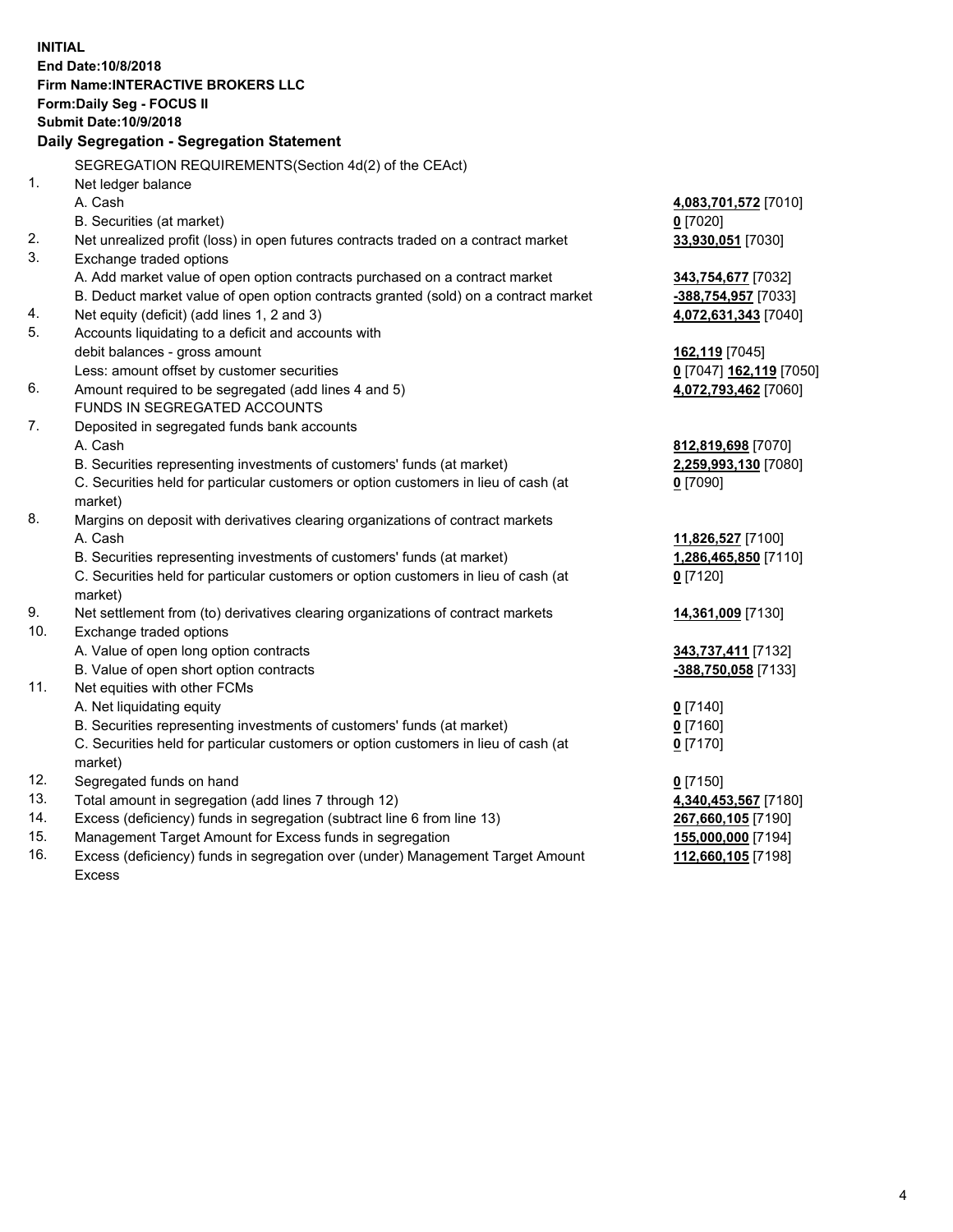**INITIAL End Date:10/8/2018 Firm Name:INTERACTIVE BROKERS LLC Form:Daily Seg - FOCUS II Submit Date:10/9/2018 Daily Segregation - Segregation Statement** SEGREGATION REQUIREMENTS(Section 4d(2) of the CEAct) 1. Net ledger balance A. Cash **4,083,701,572** [7010] B. Securities (at market) **0** [7020] 2. Net unrealized profit (loss) in open futures contracts traded on a contract market **33,930,051** [7030] 3. Exchange traded options A. Add market value of open option contracts purchased on a contract market **343,754,677** [7032] B. Deduct market value of open option contracts granted (sold) on a contract market **-388,754,957** [7033] 4. Net equity (deficit) (add lines 1, 2 and 3) **4,072,631,343** [7040] 5. Accounts liquidating to a deficit and accounts with debit balances - gross amount **162,119** [7045] Less: amount offset by customer securities **0** [7047] **162,119** [7050] 6. Amount required to be segregated (add lines 4 and 5) **4,072,793,462** [7060] FUNDS IN SEGREGATED ACCOUNTS 7. Deposited in segregated funds bank accounts A. Cash **812,819,698** [7070] B. Securities representing investments of customers' funds (at market) **2,259,993,130** [7080] C. Securities held for particular customers or option customers in lieu of cash (at market) **0** [7090] 8. Margins on deposit with derivatives clearing organizations of contract markets A. Cash **11,826,527** [7100] B. Securities representing investments of customers' funds (at market) **1,286,465,850** [7110] C. Securities held for particular customers or option customers in lieu of cash (at market) **0** [7120] 9. Net settlement from (to) derivatives clearing organizations of contract markets **14,361,009** [7130] 10. Exchange traded options A. Value of open long option contracts **343,737,411** [7132] B. Value of open short option contracts **-388,750,058** [7133] 11. Net equities with other FCMs A. Net liquidating equity **0** [7140] B. Securities representing investments of customers' funds (at market) **0** [7160] C. Securities held for particular customers or option customers in lieu of cash (at market) **0** [7170] 12. Segregated funds on hand **0** [7150] 13. Total amount in segregation (add lines 7 through 12) **4,340,453,567** [7180] 14. Excess (deficiency) funds in segregation (subtract line 6 from line 13) **267,660,105** [7190] 15. Management Target Amount for Excess funds in segregation **155,000,000** [7194] 16. Excess (deficiency) funds in segregation over (under) Management Target Amount **112,660,105** [7198]

Excess